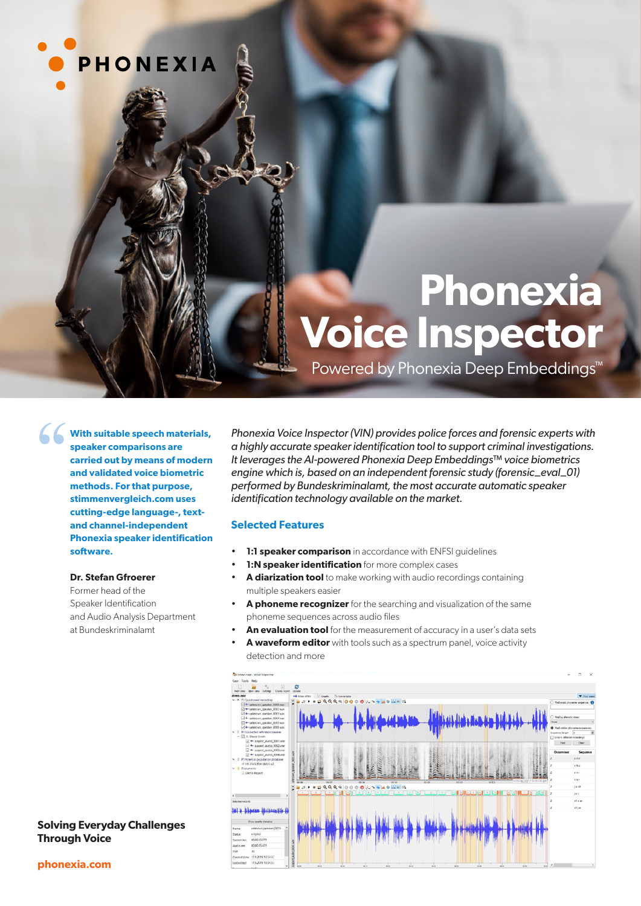

# **Phonexia Voice Inspector**

Powered by Phonexia Deep Embeddings<sup>™</sup>

**With suitable speech materials, speaker comparisons are carried out by means of modern and validated voice biometric methods. For that purpose, stimmenvergleich.com uses cutting-edge language-, textand channel-independent Phonexia speaker identification software.**

#### **Dr. Stefan Gfroerer**

Former head of the Speaker Identification and Audio Analysis Department at Bundeskriminalamt

*Phonexia Voice Inspector (VIN) provides police forces and forensic experts with a highly accurate speaker identification tool to support criminal investigations. It leverages the AI-powered Phonexia Deep Embeddings™ voice biometrics engine which is, based on an independent forensic study (forensic\_eval\_01) performed by Bundeskriminalamt, the most accurate automatic speaker identification technology available on the market.*

#### **Selected Features**

- **1:1 speaker comparison** in accordance with ENFSI quidelines
- **1:N speaker identification** for more complex cases
- **A diarization tool** to make working with audio recordings containing multiple speakers easier
- **A phoneme recognizer** for the searching and visualization of the same phoneme sequences across audio files
- **An evaluation tool** for the measurement of accuracy in a user's data sets
- **A waveform editor** with tools such as a spectrum panel, voice activity detection and more



**Solving Everyday Challenges Through Voice**